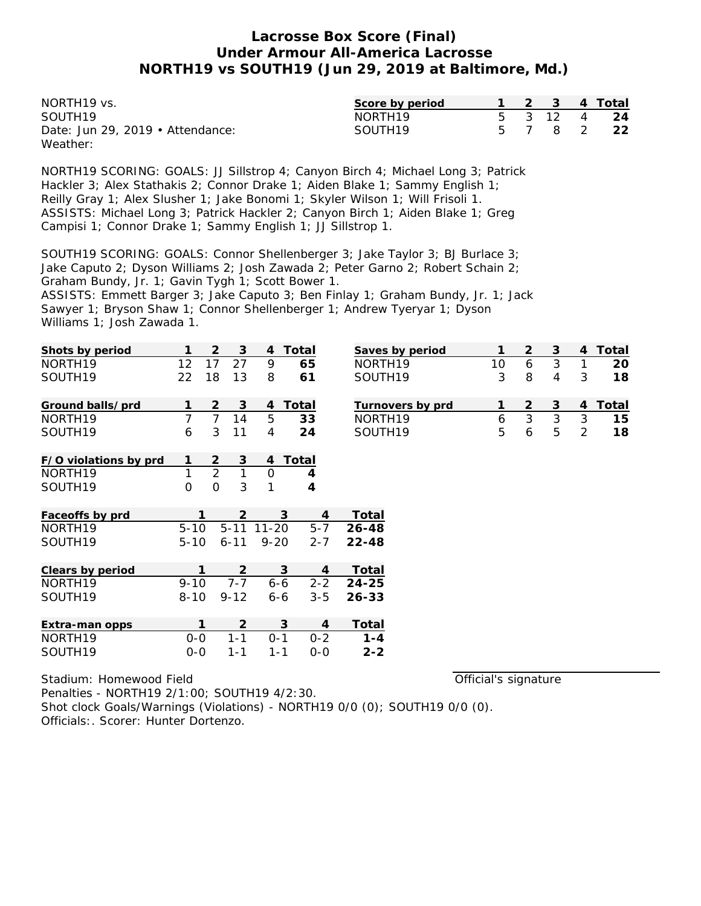| NORTH <sub>19</sub> vs.                | Score by period     |  |          | 2  3  4 Total |
|----------------------------------------|---------------------|--|----------|---------------|
| SOUTH <sub>19</sub>                    | NORTH <sub>19</sub> |  | 5 3 12 4 | - 24          |
| Date: Jun 29, 2019 $\cdot$ Attendance: | SOUTH19             |  |          | 5 7 8 2 22    |
| Weather:                               |                     |  |          |               |

NORTH19 SCORING: GOALS: JJ Sillstrop 4; Canyon Birch 4; Michael Long 3; Patrick Hackler 3; Alex Stathakis 2; Connor Drake 1; Aiden Blake 1; Sammy English 1; Reilly Gray 1; Alex Slusher 1; Jake Bonomi 1; Skyler Wilson 1; Will Frisoli 1. ASSISTS: Michael Long 3; Patrick Hackler 2; Canyon Birch 1; Aiden Blake 1; Greg Campisi 1; Connor Drake 1; Sammy English 1; JJ Sillstrop 1.

SOUTH19 SCORING: GOALS: Connor Shellenberger 3; Jake Taylor 3; BJ Burlace 3; Jake Caputo 2; Dyson Williams 2; Josh Zawada 2; Peter Garno 2; Robert Schain 2; Graham Bundy, Jr. 1; Gavin Tygh 1; Scott Bower 1. ASSISTS: Emmett Barger 3; Jake Caputo 3; Ben Finlay 1; Graham Bundy, Jr. 1; Jack Sawyer 1; Bryson Shaw 1; Connor Shellenberger 1; Andrew Tyeryar 1; Dyson Williams 1; Josh Zawada 1.

| Shots by period       |              | $\overline{2}$ | 3        | 4           | Total          | Saves by period     | 1  | 2              | 3 | 4              | Total |
|-----------------------|--------------|----------------|----------|-------------|----------------|---------------------|----|----------------|---|----------------|-------|
| NORTH19               | 12           | 17             | 27       | 9           | 65             | NORTH19             | 10 | 6              | 3 | 1              | 20    |
| SOUTH19               | 22           | 18             | 13       | 8           | 61             | SOUTH19             | 3  | 8              | 4 | 3              | 18    |
| Ground balls/prd      |              | $\overline{2}$ | 3        | 4           | Total          | Turnovers by prd    | 1  | $\overline{2}$ | 3 | 4              | Total |
| NORTH <sub>19</sub>   | 7            | $\overline{7}$ | 14       | 5           | 33             | NORTH <sub>19</sub> | 6  | $\overline{3}$ | 3 | 3              | 15    |
| SOUTH19               | 6            | 3              | 11       | 4           | 24             | SOUTH19             | 5  | 6              | 5 | $\overline{2}$ | 18    |
| F/O violations by prd | 1            | 2              | 3        | 4           | Total          |                     |    |                |   |                |       |
| NORTH <sub>19</sub>   | $\mathbf{1}$ | $\overline{2}$ | 1        | $\mathbf 0$ | 4              |                     |    |                |   |                |       |
| SOUTH19               | 0            | $\overline{O}$ | 3        | 1           | $\overline{4}$ |                     |    |                |   |                |       |
| Faceoffs by prd       | 1            |                | 2        |             | 3<br>4         | Total               |    |                |   |                |       |
| NORTH19               | $5 - 10$     |                | $5 - 11$ | $11 - 20$   | $5 - 7$        | $26 - 48$           |    |                |   |                |       |
| SOUTH19               | $5 - 10$     |                | $6 - 11$ | $9 - 20$    | $2 - 7$        | $22 - 48$           |    |                |   |                |       |
| Clears by period      | 1            |                | 2        |             | 3<br>4         | Total               |    |                |   |                |       |
| NORTH <sub>19</sub>   | $9 - 10$     |                | $7 - 7$  | $6 - 6$     | $2 - 2$        | $24 - 25$           |    |                |   |                |       |
| SOUTH19               | $8 - 10$     |                | $9 - 12$ | $6 - 6$     | $3 - 5$        | $26 - 33$           |    |                |   |                |       |
| Extra-man opps        |              | 1              | 2        |             | 3<br>4         | Total               |    |                |   |                |       |
| NORTH19               | $0-0$        |                | $1 - 1$  | $0 - 1$     | $0 - 2$        | $1 - 4$             |    |                |   |                |       |
| SOUTH19               | $0 - 0$      |                | $1 - 1$  | $1 - 1$     | $0-0$          | $2 - 2$             |    |                |   |                |       |

Stadium: Homewood Field Penalties - NORTH19 2/1:00; SOUTH19 4/2:30. Shot clock Goals/Warnings (Violations) - NORTH19 0/0 (0); SOUTH19 0/0 (0). Officials:. Scorer: Hunter Dortenzo.

Official's signature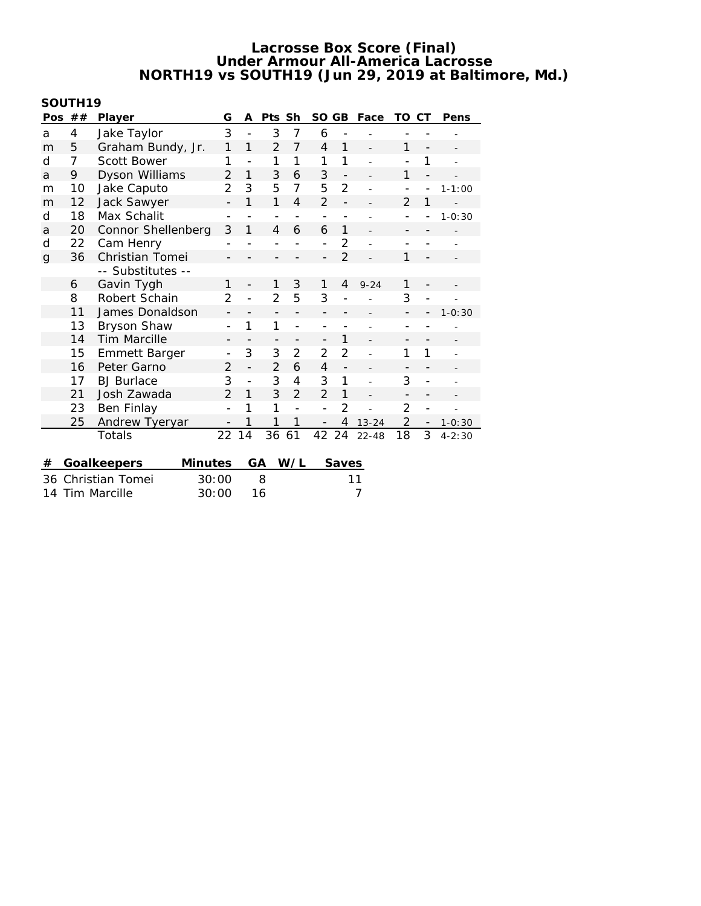# **SOUTH19**

| Pos                | ## | Player               | G                        | A                        | Pts Sh                   |                          | <b>SO</b>                | <b>GB</b>                | Face           | TO             | СT                       | Pens       |
|--------------------|----|----------------------|--------------------------|--------------------------|--------------------------|--------------------------|--------------------------|--------------------------|----------------|----------------|--------------------------|------------|
| a                  | 4  | Jake Taylor          | 3                        | $\overline{a}$           | 3                        | 7                        | 6                        |                          |                |                |                          |            |
| m                  | 5  | Graham Bundy, Jr.    | 1                        | 1                        | $\overline{2}$           | 7                        | $\overline{4}$           | 1                        |                | 1              | $\overline{a}$           |            |
| d                  | 7  | Scott Bower          | 1                        | $\overline{a}$           | 1                        | 1                        | 1                        | 1                        |                |                | 1                        |            |
| a                  | 9  | Dyson Williams       | 2                        | 1                        | 3                        | 6                        | 3                        | $\qquad \qquad -$        |                | 1              | $\overline{\phantom{0}}$ |            |
| m                  | 10 | Jake Caputo          | 2                        | 3                        | 5                        | 7                        | 5                        | $\overline{2}$           |                |                | -                        | $1 - 1:00$ |
| m                  | 12 | Jack Sawyer          | $\overline{a}$           | 1                        | 1                        | $\overline{4}$           | $\overline{2}$           | $\overline{a}$           |                | 2              | 1                        |            |
| d                  | 18 | Max Schalit          | $\overline{\phantom{a}}$ |                          | $\overline{\phantom{a}}$ | $\overline{\phantom{a}}$ | $\overline{\phantom{0}}$ | $\overline{\phantom{0}}$ |                |                |                          | $1 - 0:30$ |
| a                  | 20 | Connor Shellenberg   | 3                        | 1                        | 4                        | 6                        | 6                        | 1                        |                |                |                          |            |
| d                  | 22 | Cam Henry            |                          |                          |                          |                          |                          | $\overline{2}$           |                |                |                          |            |
| g                  | 36 | Christian Tomei      | $\overline{\phantom{a}}$ |                          |                          |                          |                          | $\overline{2}$           |                | 1              |                          |            |
|                    |    | -- Substitutes --    |                          |                          |                          |                          |                          |                          |                |                |                          |            |
|                    | 6  | Gavin Tygh           | 1                        |                          | 1                        | 3                        | 1                        | 4                        | $9 - 24$       | 1              |                          |            |
|                    | 8  | Robert Schain        |                          | $\overline{a}$           | $\overline{2}$           | 5                        | 3                        |                          |                | 3              | -                        |            |
|                    | 11 | James Donaldson      | $\overline{\phantom{a}}$ |                          | $\overline{a}$           | $\overline{a}$           |                          |                          |                |                |                          | $1 - 0:30$ |
|                    | 13 | Bryson Shaw          | $\overline{\phantom{0}}$ | 1                        | 1                        | $\overline{a}$           |                          |                          |                |                |                          |            |
|                    | 14 | <b>Tim Marcille</b>  | -                        |                          | -                        | -                        | $\overline{\phantom{0}}$ | 1                        |                | -              | -                        |            |
|                    | 15 | <b>Emmett Barger</b> |                          | 3                        | 3                        | $\overline{2}$           | $\overline{2}$           | $\overline{2}$           |                | 1              | 1                        |            |
|                    | 16 | Peter Garno          | 2                        | $\overline{\phantom{0}}$ | $\overline{2}$           | 6                        | 4                        | $\overline{a}$           |                |                | -                        |            |
|                    | 17 | <b>BJ</b> Burlace    | 3                        | $\overline{\phantom{0}}$ | 3                        | 4                        | 3                        | 1                        | $\overline{a}$ | 3              | -                        |            |
|                    | 21 | Josh Zawada          | $\mathcal{P}$            | 1                        | 3                        | $\overline{2}$           | $\mathcal{P}$            | $\mathbf{1}$             |                |                | -                        |            |
|                    | 23 | Ben Finlay           | $\overline{a}$           | 1                        | 1                        | $\overline{a}$           | $\overline{a}$           | $\overline{2}$           |                | $\overline{2}$ | $\overline{a}$           |            |
|                    | 25 | Andrew Tyeryar       |                          | 1                        | 1                        | 1                        |                          | 4                        | $13 - 24$      | $\overline{2}$ | -                        | $1 - 0:30$ |
|                    |    | Totals               | 22                       | 14                       | 36                       | 61                       | 42                       | 24                       | $22 - 48$      | 18             | 3                        | $4 - 2:30$ |
|                    |    |                      |                          |                          |                          |                          |                          |                          |                |                |                          |            |
| #                  |    | Goalkeepers          | <b>Minutes</b>           |                          | GА                       | W/L                      |                          | Saves                    |                |                |                          |            |
| 36                 |    | Christian Tomei      | 30:00                    |                          | 8                        |                          |                          |                          | 11             |                |                          |            |
| Tim Marcille<br>14 |    |                      | 30:00                    |                          | 7<br>16                  |                          |                          |                          |                |                |                          |            |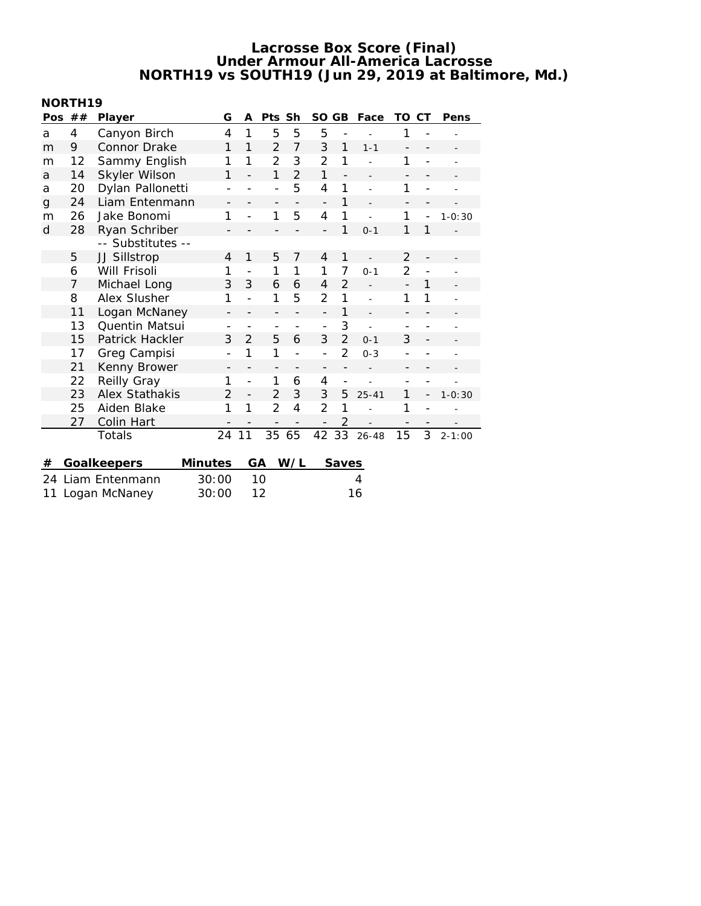### **NORTH19**

| Pos                 | ## | Player            | G                        | A                            | Pts                      | Sh             | <b>SO</b>                | GB                       | Face           | ТO                       | СT                       | Pens       |
|---------------------|----|-------------------|--------------------------|------------------------------|--------------------------|----------------|--------------------------|--------------------------|----------------|--------------------------|--------------------------|------------|
| a                   | 4  | Canyon Birch      | 4                        | $\mathbf{1}$                 | 5                        | 5              | 5                        |                          |                | 1                        |                          |            |
| m                   | 9  | Connor Drake      | 1                        | 1                            | $\overline{2}$           | $\overline{7}$ | 3                        | 1                        | $1 - 1$        | $\overline{\phantom{m}}$ | $\overline{\phantom{0}}$ |            |
| m                   | 12 | Sammy English     | 1                        | 1                            | 2                        | 3              | 2                        | 1                        |                | 1                        | $\overline{a}$           |            |
| a                   | 14 | Skyler Wilson     | 1                        |                              | 1                        | $\overline{2}$ | 1                        | $\overline{a}$           |                | $\overline{\phantom{m}}$ |                          |            |
| a                   | 20 | Dylan Pallonetti  | $\overline{\phantom{a}}$ |                              | $\overline{\phantom{0}}$ | 5              | 4                        | 1                        |                | 1                        | $\overline{a}$           |            |
| $\mathsf{g}$        | 24 | Liam Entenmann    | -                        |                              | $\qquad \qquad -$        |                | $\overline{a}$           | 1                        |                | $\overline{\phantom{0}}$ | -                        |            |
| m                   | 26 | Jake Bonomi       | 1                        |                              | 1                        | 5              | 4                        | 1                        |                | 1                        | $\overline{\phantom{a}}$ | $1 - 0:30$ |
| d                   | 28 | Ryan Schriber     |                          |                              |                          |                |                          | 1                        | $0 - 1$        | 1                        | 1                        |            |
|                     |    | -- Substitutes -- |                          |                              |                          |                |                          |                          |                |                          |                          |            |
|                     | 5  | JJ Sillstrop      | $\overline{4}$           | 1                            | 5                        | 7              | 4                        | 1                        |                | $\overline{2}$           |                          |            |
|                     | 6  | Will Frisoli      | 1                        |                              | 1                        | 1              | 1                        | 7                        | $0 - 1$        | $\overline{2}$           |                          |            |
|                     | 7  | Michael Long      | 3                        | 3                            | 6                        | 6              | 4                        | $\overline{2}$           |                | $\overline{a}$           | 1                        |            |
|                     | 8  | Alex Slusher      | 1                        |                              | 1                        | 5              | $\overline{2}$           | 1                        | $\overline{a}$ | 1                        | 1                        |            |
|                     | 11 | Logan McNaney     | $\overline{\phantom{m}}$ |                              | $\overline{\phantom{0}}$ |                | $\overline{a}$           | 1                        | $\overline{a}$ |                          |                          |            |
|                     | 13 | Quentin Matsui    | $\overline{\phantom{0}}$ | $\qquad \qquad \blacksquare$ | $\qquad \qquad -$        |                | $\overline{a}$           | 3                        | $\overline{a}$ |                          |                          |            |
|                     | 15 | Patrick Hackler   | 3                        | $\overline{2}$               | 5                        | 6              | 3                        | $\overline{2}$           | $0 - 1$        | 3                        | $\overline{\phantom{0}}$ |            |
|                     | 17 | Greg Campisi      | $\overline{\phantom{a}}$ | 1                            | 1                        |                | $\overline{a}$           | 2                        | $0 - 3$        |                          |                          |            |
|                     | 21 | Kenny Brower      | $\overline{\phantom{a}}$ |                              | $\qquad \qquad -$        |                | $\overline{\phantom{0}}$ | -                        |                |                          |                          |            |
|                     | 22 | Reilly Gray       | 1                        | $\overline{a}$               | 1                        | 6              | 4                        | $\overline{\phantom{0}}$ |                |                          |                          |            |
|                     | 23 | Alex Stathakis    | 2                        | $\overline{\phantom{0}}$     | $\overline{2}$           | 3              | 3                        | 5                        | $25 - 41$      | 1                        | $\overline{\phantom{0}}$ | $1 - 0:30$ |
|                     | 25 | Aiden Blake       | 1                        | 1                            | 2                        | 4              | 2                        | 1                        |                | 1                        |                          |            |
|                     | 27 | Colin Hart        |                          |                              |                          |                |                          | $\overline{2}$           |                | $\qquad \qquad -$        | $\qquad \qquad -$        |            |
|                     |    | Totals            | 24                       | 11                           | 35                       | 65             | 42                       | 33                       | $26 - 48$      | 15                       | 3                        | $2 - 1:00$ |
|                     |    |                   |                          |                              |                          |                |                          |                          |                |                          |                          |            |
| #                   |    | Goalkeepers       | Minutes                  |                              | GА                       | W/L            |                          | Saves                    |                |                          |                          |            |
| 24                  |    | Liam Entenmann    | 30:00                    |                              | 10                       |                |                          |                          | 4              |                          |                          |            |
| Logan McNaney<br>11 |    |                   | 30:00                    |                              | 12                       | 16             |                          |                          |                |                          |                          |            |